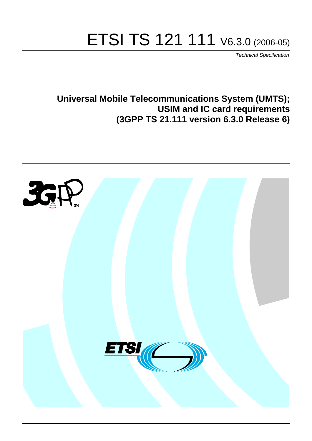# ETSI TS 121 111 V6.3.0 (2006-05)

Technical Specification

**Universal Mobile Telecommunications System (UMTS); USIM and IC card requirements (3GPP TS 21.111 version 6.3.0 Release 6)**

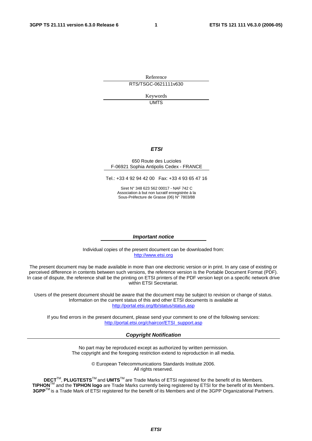Reference RTS/TSGC-0621111v630

> Keywords UMTS

#### **ETSI**

#### 650 Route des Lucioles F-06921 Sophia Antipolis Cedex - FRANCE

Tel.: +33 4 92 94 42 00 Fax: +33 4 93 65 47 16

Siret N° 348 623 562 00017 - NAF 742 C Association à but non lucratif enregistrée à la Sous-Préfecture de Grasse (06) N° 7803/88

#### **Important notice**

Individual copies of the present document can be downloaded from: [http://www.etsi.org](http://www.etsi.org/)

The present document may be made available in more than one electronic version or in print. In any case of existing or perceived difference in contents between such versions, the reference version is the Portable Document Format (PDF). In case of dispute, the reference shall be the printing on ETSI printers of the PDF version kept on a specific network drive within ETSI Secretariat.

Users of the present document should be aware that the document may be subject to revision or change of status. Information on the current status of this and other ETSI documents is available at <http://portal.etsi.org/tb/status/status.asp>

If you find errors in the present document, please send your comment to one of the following services: [http://portal.etsi.org/chaircor/ETSI\\_support.asp](http://portal.etsi.org/chaircor/ETSI_support.asp)

#### **Copyright Notification**

No part may be reproduced except as authorized by written permission. The copyright and the foregoing restriction extend to reproduction in all media.

> © European Telecommunications Standards Institute 2006. All rights reserved.

**DECT**TM, **PLUGTESTS**TM and **UMTS**TM are Trade Marks of ETSI registered for the benefit of its Members. **TIPHON**TM and the **TIPHON logo** are Trade Marks currently being registered by ETSI for the benefit of its Members. **3GPP**TM is a Trade Mark of ETSI registered for the benefit of its Members and of the 3GPP Organizational Partners.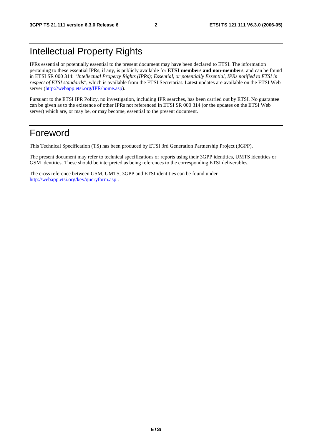### Intellectual Property Rights

IPRs essential or potentially essential to the present document may have been declared to ETSI. The information pertaining to these essential IPRs, if any, is publicly available for **ETSI members and non-members**, and can be found in ETSI SR 000 314: *"Intellectual Property Rights (IPRs); Essential, or potentially Essential, IPRs notified to ETSI in respect of ETSI standards"*, which is available from the ETSI Secretariat. Latest updates are available on the ETSI Web server ([http://webapp.etsi.org/IPR/home.asp\)](http://webapp.etsi.org/IPR/home.asp).

Pursuant to the ETSI IPR Policy, no investigation, including IPR searches, has been carried out by ETSI. No guarantee can be given as to the existence of other IPRs not referenced in ETSI SR 000 314 (or the updates on the ETSI Web server) which are, or may be, or may become, essential to the present document.

### Foreword

This Technical Specification (TS) has been produced by ETSI 3rd Generation Partnership Project (3GPP).

The present document may refer to technical specifications or reports using their 3GPP identities, UMTS identities or GSM identities. These should be interpreted as being references to the corresponding ETSI deliverables.

The cross reference between GSM, UMTS, 3GPP and ETSI identities can be found under <http://webapp.etsi.org/key/queryform.asp>.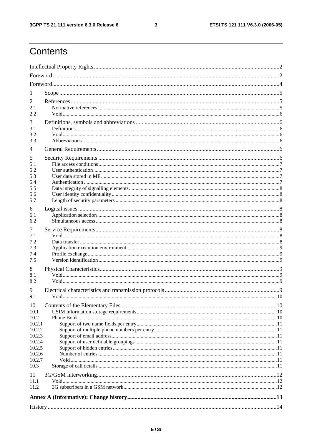$\mathbf{3}$ 

# Contents

| 1                |       |      |  |  |  |  |  |
|------------------|-------|------|--|--|--|--|--|
| 2                |       |      |  |  |  |  |  |
| 2.1              |       |      |  |  |  |  |  |
| 2.2.             |       |      |  |  |  |  |  |
| 3<br>3.1         |       |      |  |  |  |  |  |
| 3.2<br>3.3       |       |      |  |  |  |  |  |
|                  |       |      |  |  |  |  |  |
| 4                |       |      |  |  |  |  |  |
| 5                |       |      |  |  |  |  |  |
| 5.1<br>5.2       |       |      |  |  |  |  |  |
| 5.3              |       |      |  |  |  |  |  |
| 5.4              |       |      |  |  |  |  |  |
| 5.5              |       |      |  |  |  |  |  |
| 5.6<br>5.7       |       |      |  |  |  |  |  |
| 6                |       |      |  |  |  |  |  |
| 6.1              |       |      |  |  |  |  |  |
| 6.2              |       |      |  |  |  |  |  |
| 7                |       |      |  |  |  |  |  |
| 7.1              |       |      |  |  |  |  |  |
| 7.2<br>7.3       |       |      |  |  |  |  |  |
| 7.4              |       |      |  |  |  |  |  |
| 7.5              |       |      |  |  |  |  |  |
| 8                |       |      |  |  |  |  |  |
| 8.1              |       |      |  |  |  |  |  |
| 8.2              |       |      |  |  |  |  |  |
| 9                |       |      |  |  |  |  |  |
| 9.1              | Void. | . 10 |  |  |  |  |  |
| 10               |       |      |  |  |  |  |  |
| 10.1<br>10.2     |       |      |  |  |  |  |  |
| 10.2.1           |       |      |  |  |  |  |  |
| 10.2.2           |       |      |  |  |  |  |  |
| 10.2.3<br>10.2.4 |       |      |  |  |  |  |  |
| 10.2.5           |       |      |  |  |  |  |  |
| 10.2.6           |       |      |  |  |  |  |  |
| 10.2.7           |       |      |  |  |  |  |  |
| 10.3             |       |      |  |  |  |  |  |
| 11<br>11.1       |       |      |  |  |  |  |  |
| 11.2             |       |      |  |  |  |  |  |
|                  |       |      |  |  |  |  |  |
|                  |       |      |  |  |  |  |  |
|                  |       |      |  |  |  |  |  |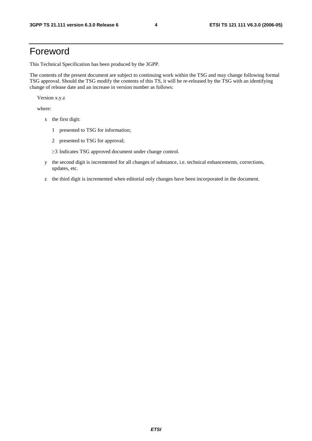### Foreword

This Technical Specification has been produced by the 3GPP.

The contents of the present document are subject to continuing work within the TSG and may change following formal TSG approval. Should the TSG modify the contents of this TS, it will be re-released by the TSG with an identifying change of release date and an increase in version number as follows:

Version x.y.z

where:

- x the first digit:
	- 1 presented to TSG for information;
	- 2 presented to TSG for approval;
	- $\geq$ 3 Indicates TSG approved document under change control.
- y the second digit is incremented for all changes of substance, i.e. technical enhancements, corrections, updates, etc.
- z the third digit is incremented when editorial only changes have been incorporated in the document.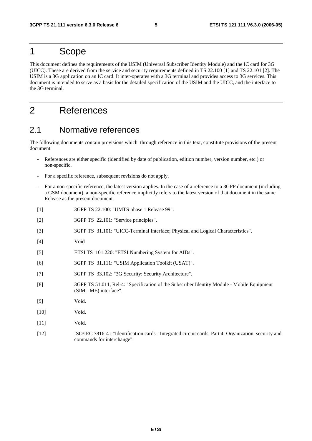### 1 Scope

This document defines the requirements of the USIM (Universal Subscriber Identity Module) and the IC card for 3G (UICC). These are derived from the service and security requirements defined in TS 22.100 [1] and TS 22.101 [2]. The USIM is a 3G application on an IC card. It inter-operates with a 3G terminal and provides access to 3G services. This document is intended to serve as a basis for the detailed specification of the USIM and the UICC, and the interface to the 3G terminal.

### 2 References

#### 2.1 Normative references

The following documents contain provisions which, through reference in this text, constitute provisions of the present document.

- References are either specific (identified by date of publication, edition number, version number, etc.) or non-specific.
- For a specific reference, subsequent revisions do not apply.
- For a non-specific reference, the latest version applies. In the case of a reference to a 3GPP document (including a GSM document), a non-specific reference implicitly refers to the latest version of that document in the same Release as the present document.
- [1] 3GPP TS 22.100: "UMTS phase 1 Release 99".
- [2] 3GPP TS 22.101: "Service principles".
- [3] 3GPP TS 31.101: "UICC-Terminal Interface; Physical and Logical Characteristics".
- [4] Void
- [5] ETSI TS 101.220: "ETSI Numbering System for AIDs".
- [6] 3GPP TS 31.111: "USIM Application Toolkit (USAT)".
- [7] 3GPP TS 33.102: "3G Security: Security Architecture".
- [8] 3GPP TS 51.011, Rel-4: "Specification of the Subscriber Identity Module Mobile Equipment (SIM - ME) interface".
- [9] Void.
- [10] **Void.**
- [11] **Void.**
- [12] ISO/IEC 7816-4 : "Identification cards Integrated circuit cards, Part 4: Organization, security and commands for interchange".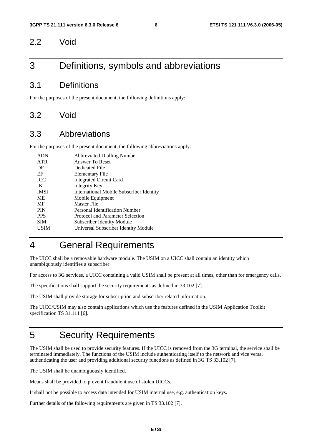#### 2.2 Void

### 3 Definitions, symbols and abbreviations

#### 3.1 Definitions

For the purposes of the present document, the following definitions apply:

#### 3.2 Void

#### 3.3 Abbreviations

For the purposes of the present document, the following abbreviations apply:

| <b>ADN</b>  | <b>Abbreviated Dialling Number</b>              |
|-------------|-------------------------------------------------|
| <b>ATR</b>  | Answer To Reset                                 |
| DF          | Dedicated File                                  |
| EF          | Elementary File                                 |
| <b>ICC</b>  | <b>Integrated Circuit Card</b>                  |
| IK          | Integrity Key                                   |
| <b>IMSI</b> | <b>International Mobile Subscriber Identity</b> |
| ME          | Mobile Equipment                                |
| MF          | Master File                                     |
| <b>PIN</b>  | Personal Identification Number                  |
| <b>PPS</b>  | Protocol and Parameter Selection                |
| <b>SIM</b>  | Subscriber Identity Module                      |
| USIM        | Universal Subscriber Identity Module            |
|             |                                                 |

### 4 General Requirements

The UICC shall be a removable hardware module. The USIM on a UICC shall contain an identity which unambiguously identifies a subscriber.

For access to 3G services, a UICC containing a valid USIM shall be present at all times, other than for emergency calls.

The specifications shall support the security requirements as defined in 33.102 [7].

The USIM shall provide storage for subscription and subscriber related information.

The UICC/USIM may also contain applications which use the features defined in the USIM Application Toolkit specification TS 31.111 [6].

### 5 Security Requirements

The USIM shall be used to provide security features. If the UICC is removed from the 3G terminal, the service shall be terminated immediately. The functions of the USIM include authenticating itself to the network and vice versa, authenticating the user and providing additional security functions as defined in 3G TS 33.102 [7].

The USIM shall be unambiguously identified.

Means shall be provided to prevent fraudulent use of stolen UICCs.

It shall not be possible to access data intended for USIM internal use, e.g. authentication keys.

Further details of the following requirements are given in TS 33.102 [7].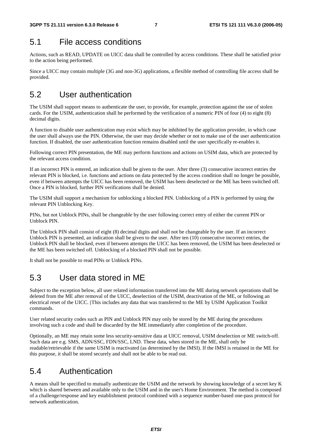### 5.1 File access conditions

Actions, such as READ, UPDATE on UICC data shall be controlled by access conditions. These shall be satisfied prior to the action being performed.

Since a UICC may contain multiple (3G and non-3G) applications, a flexible method of controlling file access shall be provided.

### 5.2 User authentication

The USIM shall support means to authenticate the user, to provide, for example, protection against the use of stolen cards. For the USIM, authentication shall be performed by the verification of a numeric PIN of four (4) to eight (8) decimal digits.

A function to disable user authentication may exist which may be inhibited by the application provider, in which case the user shall always use the PIN. Otherwise, the user may decide whether or not to make use of the user authentication function. If disabled, the user authentication function remains disabled until the user specifically re-enables it.

Following correct PIN presentation, the ME may perform functions and actions on USIM data, which are protected by the relevant access condition.

If an incorrect PIN is entered, an indication shall be given to the user. After three (3) consecutive incorrect entries the relevant PIN is blocked, i.e. functions and actions on data protected by the access condition shall no longer be possible, even if between attempts the UICC has been removed, the USIM has been deselected or the ME has been switched off. Once a PIN is blocked, further PIN verifications shall be denied.

The USIM shall support a mechanism for unblocking a blocked PIN. Unblocking of a PIN is performed by using the relevant PIN Unblocking Key.

PINs, but not Unblock PINs, shall be changeable by the user following correct entry of either the current PIN or Unblock PIN.

The Unblock PIN shall consist of eight (8) decimal digits and shall not be changeable by the user. If an incorrect Unblock PIN is presented, an indication shall be given to the user. After ten (10) consecutive incorrect entries, the Unblock PIN shall be blocked, even if between attempts the UICC has been removed, the USIM has been deselected or the ME has been switched off. Unblocking of a blocked PIN shall not be possible.

It shall not be possible to read PINs or Unblock PINs.

### 5.3 User data stored in ME

Subject to the exception below, all user related information transferred into the ME during network operations shall be deleted from the ME after removal of the UICC, deselection of the USIM, deactivation of the ME, or following an electrical reset of the UICC. [This includes any data that was transferred to the ME by USIM Application Toolkit commands.

User related security codes such as PIN and Unblock PIN may only be stored by the ME during the procedures involving such a code and shall be discarded by the ME immediately after completion of the procedure.

Optionally, an ME may retain some less security-sensitive data at UICC removal, USIM deselection or ME switch-off. Such data are e.g. SMS, ADN/SSC, FDN/SSC, LND. These data, when stored in the ME, shall only be readable/retrievable if the same USIM is reactivated (as determined by the IMSI). If the IMSI is retained in the ME for this purpose, it shall be stored securely and shall not be able to be read out.

### 5.4 Authentication

A means shall be specified to mutually authenticate the USIM and the network by showing knowledge of a secret key K which is shared between and available only to the USIM and in the user's Home Environment. The method is composed of a challenge/response and key establishment protocol combined with a sequence number-based one-pass protocol for network authentication.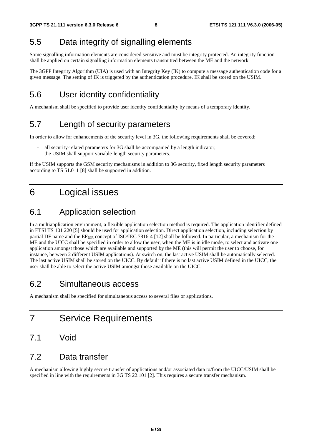### 5.5 Data integrity of signalling elements

Some signalling information elements are considered sensitive and must be integrity protected. An integrity function shall be applied on certain signalling information elements transmitted between the ME and the network.

The 3GPP Integrity Algorithm (UIA) is used with an Integrity Key (IK) to compute a message authentication code for a given message. The setting of IK is triggered by the authentication procedure. IK shall be stored on the USIM.

### 5.6 User identity confidentiality

A mechanism shall be specified to provide user identity confidentiality by means of a temporary identity.

### 5.7 Length of security parameters

In order to allow for enhancements of the security level in 3G, the following requirements shall be covered:

- all security-related parameters for 3G shall be accompanied by a length indicator;
- the USIM shall support variable-length security parameters.

If the USIM supports the GSM security mechanisms in addition to 3G security, fixed length security parameters according to TS 51.011 [8] shall be supported in addition.

### 6 Logical issues

#### 6.1 Application selection

In a multiapplication environment, a flexible application selection method is required. The application identifier defined in ETSI TS 101 220 [5] should be used for application selection. Direct application selection, including selection by partial DF name and the EF<sub>DIR</sub> concept of ISO/IEC 7816-4 [12] shall be followed. In particular, a mechanism for the ME and the UICC shall be specified in order to allow the user, when the ME is in idle mode, to select and activate one application amongst those which are available and supported by the ME (this will permit the user to choose, for instance, between 2 different USIM applications). At switch on, the last active USIM shall be automatically selected. The last active USIM shall be stored on the UICC. By default if there is no last active USIM defined in the UICC, the user shall be able to select the active USIM amongst those available on the UICC.

#### 6.2 Simultaneous access

A mechanism shall be specified for simultaneous access to several files or applications.

- 7 Service Requirements
- 7.1 Void

#### 7.2 Data transfer

A mechanism allowing highly secure transfer of applications and/or associated data to/from the UICC/USIM shall be specified in line with the requirements in 3G TS 22.101 [2]. This requires a secure transfer mechanism.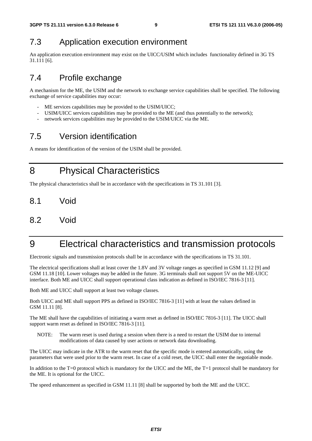### 7.3 Application execution environment

An application execution environment may exist on the UICC/USIM which includes functionality defined in 3G TS 31.111 [6].

### 7.4 Profile exchange

A mechanism for the ME, the USIM and the network to exchange service capabilities shall be specified. The following exchange of service capabilities may occur:

- ME services capabilities may be provided to the USIM/UICC;
- USIM/UICC services capabilities may be provided to the ME (and thus potentially to the network);
- network services capabilities may be provided to the USIM/UICC via the ME.

### 7.5 Version identification

A means for identification of the version of the USIM shall be provided.

8 Physical Characteristics

The physical characteristics shall be in accordance with the specifications in TS 31.101 [3].

- 8.1 Void
- 8.2 Void

### 9 Electrical characteristics and transmission protocols

Electronic signals and transmission protocols shall be in accordance with the specifications in TS 31.101.

The electrical specifications shall at least cover the 1.8V and 3V voltage ranges as specified in GSM 11.12 [9] and GSM 11.18 [10]. Lower voltages may be added in the future. 3G terminals shall not support 5V on the ME-UICC interface. Both ME and UICC shall support operational class indication as defined in ISO/IEC 7816-3 [11].

Both ME and UICC shall support at least two voltage classes.

Both UICC and ME shall support PPS as defined in ISO/IEC 7816-3 [11] with at least the values defined in GSM 11.11 [8].

The ME shall have the capabilities of initiating a warm reset as defined in ISO/IEC 7816-3 [11]. The UICC shall support warm reset as defined in ISO/IEC 7816-3 [11].

NOTE: The warm reset is used during a session when there is a need to restart the USIM due to internal modifications of data caused by user actions or network data downloading.

The UICC may indicate in the ATR to the warm reset that the specific mode is entered automatically, using the parameters that were used prior to the warm reset. In case of a cold reset, the UICC shall enter the negotiable mode.

In addition to the T=0 protocol which is mandatory for the UICC and the ME, the T=1 protocol shall be mandatory for the ME. It is optional for the UICC.

The speed enhancement as specified in GSM 11.11 [8] shall be supported by both the ME and the UICC.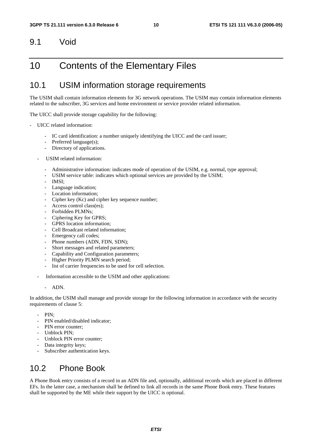#### 9.1 Void

### 10 Contents of the Elementary Files

#### 10.1 USIM information storage requirements

The USIM shall contain information elements for 3G network operations. The USIM may contain information elements related to the subscriber, 3G services and home environment or service provider related information.

The UICC shall provide storage capability for the following:

- UICC related information:
	- IC card identification: a number uniquely identifying the UICC and the card issuer;
	- Preferred language(s);
	- Directory of applications.
	- USIM related information:
		- Administrative information: indicates mode of operation of the USIM, e.g. normal, type approval;
		- USIM service table: indicates which optional services are provided by the USIM;
		- IMSI:
		- Language indication;
		- Location information:
		- Cipher key (Kc) and cipher key sequence number;
		- Access control class(es);
		- Forbidden PLMNs;
		- Ciphering Key for GPRS;
		- GPRS location information:
		- Cell Broadcast related information:
		- Emergency call codes;
		- Phone numbers (ADN, FDN, SDN);
		- Short messages and related parameters;
		- Capability and Configuration parameters;
		- Higher Priority PLMN search period;
		- list of carrier frequencies to be used for cell selection.
	- Information accessible to the USIM and other applications:
		- ADN.

In addition, the USIM shall manage and provide storage for the following information in accordance with the security requirements of clause 5:

- PIN:
- PIN enabled/disabled indicator;
- PIN error counter:
- Unblock PIN;
- Unblock PIN error counter;
- Data integrity keys;
- Subscriber authentication keys.

#### 10.2 Phone Book

A Phone Book entry consists of a record in an ADN file and, optionally, additional records which are placed in different EFs. In the latter case, a mechanism shall be defined to link all records in the same Phone Book entry. These features shall be supported by the ME while their support by the UICC is optional.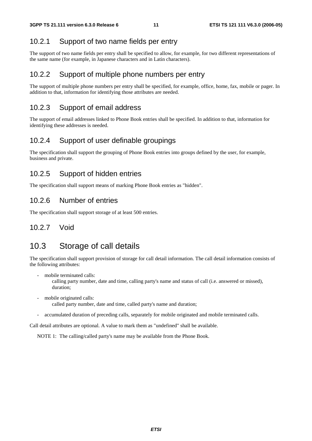#### 10.2.1 Support of two name fields per entry

The support of two name fields per entry shall be specified to allow, for example, for two different representations of the same name (for example, in Japanese characters and in Latin characters).

#### 10.2.2 Support of multiple phone numbers per entry

The support of multiple phone numbers per entry shall be specified, for example, office, home, fax, mobile or pager. In addition to that, information for identifying those attributes are needed.

#### 10.2.3 Support of email address

The support of email addresses linked to Phone Book entries shall be specified. In addition to that, information for identifying these addresses is needed.

#### 10.2.4 Support of user definable groupings

The specification shall support the grouping of Phone Book entries into groups defined by the user, for example, business and private.

#### 10.2.5 Support of hidden entries

The specification shall support means of marking Phone Book entries as "hidden".

#### 10.2.6 Number of entries

The specification shall support storage of at least 500 entries.

#### 10.2.7 Void

#### 10.3 Storage of call details

The specification shall support provision of storage for call detail information. The call detail information consists of the following attributes:

mobile terminated calls:

 calling party number, date and time, calling party's name and status of call (i.e. answered or missed), duration;

- mobile originated calls: called party number, date and time, called party's name and duration;
- accumulated duration of preceding calls, separately for mobile originated and mobile terminated calls.

Call detail attributes are optional. A value to mark them as "undefined" shall be available.

NOTE 1: The calling/called party's name may be available from the Phone Book.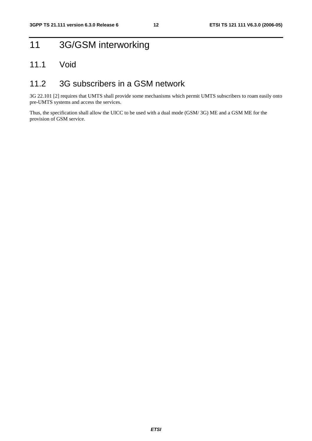## 11 3G/GSM interworking

#### 11.1 Void

#### 11.2 3G subscribers in a GSM network

3G 22.101 [2] requires that UMTS shall provide some mechanisms which permit UMTS subscribers to roam easily onto pre-UMTS systems and access the services.

Thus, the specification shall allow the UICC to be used with a dual mode (GSM/ 3G) ME and a GSM ME for the provision of GSM service.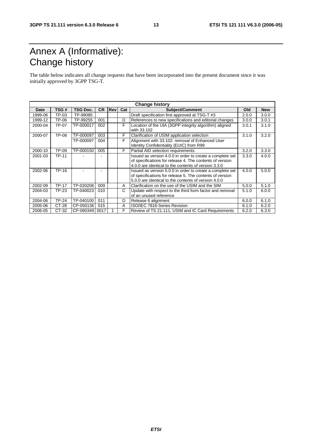# Annex A (Informative): Change history

The table below indicates all change requests that have been incorporated into the present document since it was initially approved by 3GPP TSG-T.

| <b>Change history</b> |              |                 |           |     |     |                                                                                                                  |       |            |
|-----------------------|--------------|-----------------|-----------|-----|-----|------------------------------------------------------------------------------------------------------------------|-------|------------|
| Date                  | TSG#         | <b>TSG Doc.</b> | <b>CR</b> | Rev | Cat | Subject/Comment                                                                                                  | Old   | <b>New</b> |
| 1999-06               | TP-03        | TP-99085        |           |     |     | Draft specification first approved at TSG-T #3                                                                   | 2.0.0 | 3.0.0      |
| 1999-12               | TP-06        | TP-99255        | 001       |     | D   | References to new specifications and editorial changes                                                           | 3.0.0 | 3.0.1      |
| 2000-04               | TP-07        | TP-000017       | 002       |     | F   | Location of the UIA (3GPP integrity algorithm) aligned                                                           | 3.0.1 | 3.1.0      |
|                       |              |                 |           |     |     | with 33.102                                                                                                      |       |            |
| 2000-07               | TP-08        | TP-000097       | 003       |     | F   | Clarification of USIM application selection                                                                      | 3.1.0 | 3.2.0      |
|                       |              | TP-000097       | 004       |     | F   | Alignment with 33.102: removal of Enhanced User<br>Identity Confidentiality (EUIC) from R99                      |       |            |
| 2000-10               | TP-09        | TP-000150       | 005       |     | F   | Partial AID selection requirements                                                                               | 3.2.0 | 3.3.0      |
| 2001-03               | <b>TP-11</b> |                 |           |     |     | Issued as version 4.0.0 in order to create a complete set                                                        | 3.3.0 | 4.0.0      |
|                       |              |                 |           |     |     | of specifications for release 4. The contents of version<br>4.0.0 are identical to the contents of version 3.3.0 |       |            |
| 2002-06               | TP-16        |                 |           |     |     | Issued as version 5.0.0 in order to create a complete set                                                        | 4.0.0 | 5.0.0      |
|                       |              |                 |           |     |     | of specifications for release 5. The contents of version<br>5.0.0 are identical to the contents of version 4.0.0 |       |            |
| 2002-09               | <b>TP-17</b> | TP-020208       | 009       |     | A   | Clarification on the use of the USIM and the SIM                                                                 | 5.0.0 | 5.1.0      |
|                       |              |                 |           |     |     |                                                                                                                  |       |            |
| 2004-03               | TP-23        | TP-040023       | 010       |     | C   | Update with respect to the third form factor and removal                                                         | 5.1.0 | 6.0.0      |
|                       |              |                 |           |     |     | of an unused reference                                                                                           |       |            |
| 2004-06               | <b>TP-24</b> | TP-040100       | 011       |     | D   | Release 6 alignment                                                                                              | 6.0.0 | 6.1.0      |
| 2005-06               | CT-28        | CP-050136       | 015       |     | A   | ISO/IEC 7816-Series Revision                                                                                     | 6.1.0 | 6.2.0      |
| 2006-05               | CT-32        | CP-060349 0017  |           |     | F   | Review of TS 21.111, USIM and IC Card Requirements                                                               | 6.2.0 | 6.3.0      |